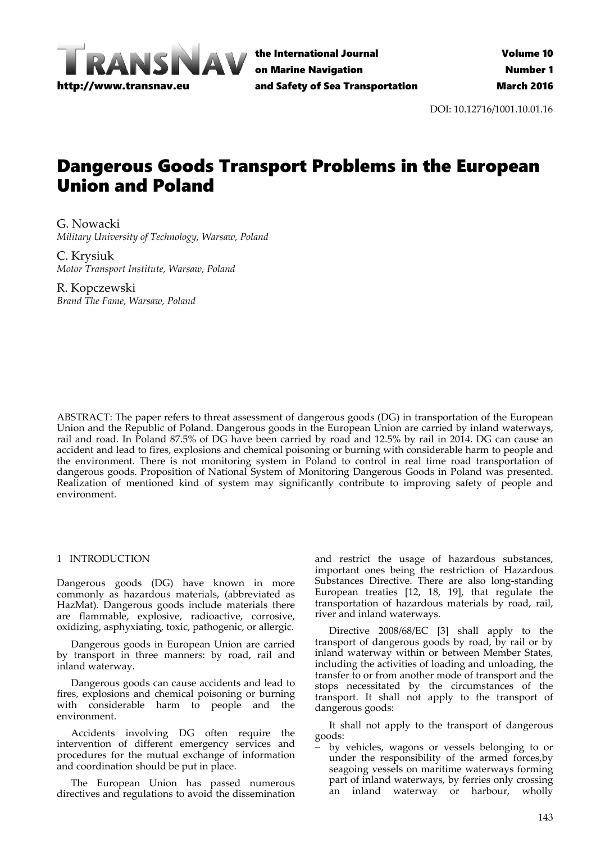

the International Journal on Marine Navigation and Safety of Sea Transportation

DOI: 10.12716/1001.10.01.16

# Dangerous Goods Transport Problems in the European Union and Poland

G. Nowacki *Military University of Technology, Warsaw, Poland*

C. Krysiuk *Motor Transport Institute, Warsaw, Poland*

R. Kopczewski *Brand The Fame, Warsaw, Poland*

ABSTRACT: The paper refers to threat assessment of dangerous goods (DG) in transportation of the European Union and the Republic of Poland. Dangerous goods in the European Union are carried by inland waterways, rail and road. In Poland 87.5% of DG have been carried by road and 12.5% by rail in 2014. DG can cause an accident and lead to fires, explosions and chemical poisoning or burning with considerable harm to people and the environment. There is not monitoring system in Poland to control in real time road transportation of dangerous goods. Proposition of National System of Monitoring Dangerous Goods in Poland was presented. Realization of mentioned kind of system may significantly contribute to improving safety of people and environment.

## 1 INTRODUCTION

Dangerous goods (DG) have known in more commonly as hazardous materials, (abbreviated as HazMat). Dangerous goods include materials there are flammable, explosive, radioactive, corrosive, oxidizing, asphyxiating, toxic, pathogenic, or allergic.

Dangerous goods in European Union are carried by transport in three manners: by road, rail and inland waterway.

Dangerous goods can cause accidents and lead to fires, explosions and chemical poisoning or burning with considerable harm to people and the environment.

Accidents involving DG often require the intervention of different emergency services and procedures for the mutual exchange of information and coordination should be put in place.

The European Union has passed numerous directives and regulations to avoid the dissemination

and restrict the usage of hazardous substances, important ones being the restriction of Hazardous Substances Directive. There are also long‐standing European treaties [12, 18, 19], that regulate the transportation of hazardous materials by road, rail, river and inland waterways.

Directive 2008/68/EC [3] shall apply to the transport of dangerous goods by road, by rail or by inland waterway within or between Member States, including the activities of loading and unloading, the transfer to or from another mode of transport and the stops necessitated by the circumstances of the transport. It shall not apply to the transport of dangerous goods:

It shall not apply to the transport of dangerous goods:

 by vehicles, wagons or vessels belonging to or under the responsibility of the armed forces,by seagoing vessels on maritime waterways forming part of inland waterways, by ferries only crossing an inland waterway or harbour, wholly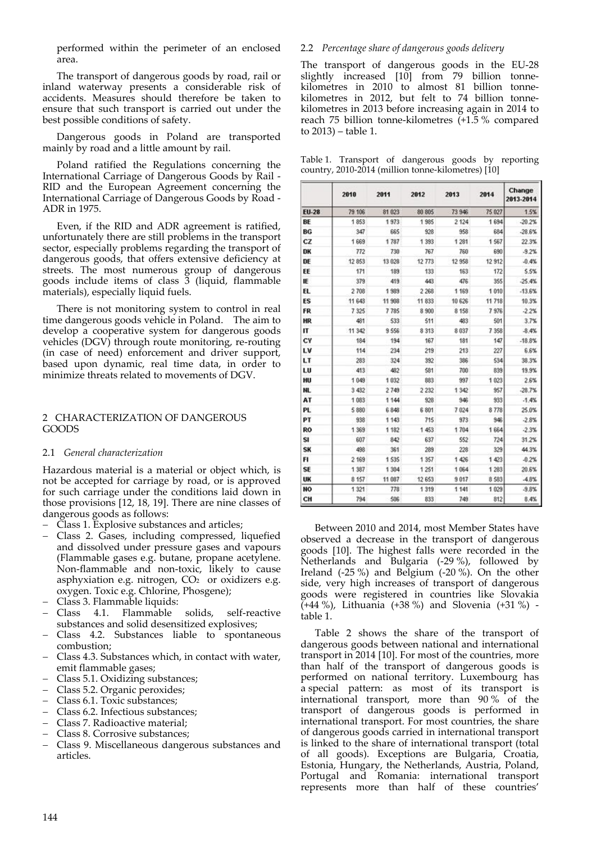performed within the perimeter of an enclosed area.

The transport of dangerous goods by road, rail or inland waterway presents a considerable risk of accidents. Measures should therefore be taken to ensure that such transport is carried out under the best possible conditions of safety.

Dangerous goods in Poland are transported mainly by road and a little amount by rail.

Poland ratified the Regulations concerning the International Carriage of Dangerous Goods by Rail ‐ RID and the European Agreement concerning the International Carriage of Dangerous Goods by Road ‐ ADR in 1975.

Even, if the RID and ADR agreement is ratified, unfortunately there are still problems in the transport sector, especially problems regarding the transport of dangerous goods, that offers extensive deficiency at streets. The most numerous group of dangerous goods include items of class  $\check{3}$  (liquid, flammable materials), especially liquid fuels.

There is not monitoring system to control in real time dangerous goods vehicle in Poland. The aim to develop a cooperative system for dangerous goods vehicles (DGV) through route monitoring, re‐routing (in case of need) enforcement and driver support, based upon dynamic, real time data, in order to minimize threats related to movements of DGV.

## 2 CHARACTERIZATION OF DANGEROUS GOODS

# 2.1 *General characterization*

Hazardous material is a material or object which, is not be accepted for carriage by road, or is approved for such carriage under the conditions laid down in those provisions [12, 18, 19]. There are nine classes of dangerous goods as follows:

- Class 1. Explosive substances and articles;
- Class 2. Gases, including compressed, liquefied and dissolved under pressure gases and vapours (Flammable gases e.g. butane, propane acetylene. Non‐flammable and non‐toxic, likely to cause asphyxiation e.g. nitrogen,  $CO<sub>2</sub>$  or oxidizers e.g. oxygen. Toxic e.g. Chlorine, Phosgene);
- Class 3. Flammable liquids:
- Class 4.1. Flammable solids, self‐reactive substances and solid desensitized explosives;
- Class 4.2. Substances liable to spontaneous combustion;
- Class 4.3. Substances which, in contact with water, emit flammable gases;
- Class 5.1. Oxidizing substances;
- Class 5.2. Organic peroxides;
- Class 6.1. Toxic substances;
- Class 6.2. Infectious substances;
- Class 7. Radioactive material;
- Class 8. Corrosive substances;
- Class 9. Miscellaneous dangerous substances and articles.

#### 2.2 *Percentage share of dangerous goods delivery*

The transport of dangerous goods in the EU‐28 slightly increased [10] from 79 billion tonnekilometres in 2010 to almost 81 billion tonnekilometres in 2012, but felt to 74 billion tonnekilometres in 2013 before increasing again in 2014 to reach 75 billion tonne‐kilometres (+1.5 % compared to 2013) – table 1.

Table 1. Transport of dangerous goods by reporting country, 2010‐2014 (million tonne‐kilometres) [10]

|              | 2010    | 2011    | 2012    | 2013    | 2014    | Change<br>2013-2014 |
|--------------|---------|---------|---------|---------|---------|---------------------|
| <b>EU-28</b> | 79 106  | 81 023  | 80 805  | 73 946  | 75 027  | 1.5%                |
| BE           | 1853    | 1973    | 1 985   | 2 1 2 4 | 1694    | $-20.2%$            |
| BG           | 347     | 665     | 928     | 958     | 684     | $-28.6%$            |
| CZ           | 1 669   | 1787    | 1 3 9 3 | 1 281   | 1 567   | 22.3%               |
| DK           | 772     | 730     | 767     | 760     | 690     | $-9.2%$             |
| DE           | 12 853  | 13 028  | 12773   | 12 958  | 12912   | $-0.4%$             |
| EE           | 171     | 189     | 133     | 163     | 172     | 5.5%                |
| ΙE           | 379     | 419     | 443     | 476     | 355     | $-25.4%$            |
| EL           | 2 708   | 1989    | 2 268   | 1 169   | 1 0 1 0 | $-13.6%$            |
| ES           | 11 643  | 11 908  | 11 833  | 10 626  | 11 718  | 10.3%               |
| <b>FR</b>    | 7 3 2 5 | 7785    | 8 9 0 0 | 8 1 5 8 | 7976    | $-2.2%$             |
| <b>HR</b>    | 461     | 533     | 511     | 483     | 501     | 3.7%                |
| П            | 11 342  | 9556    | 8 3 1 3 | 8 0 3 7 | 7 3 5 8 | $-8.4%$             |
| C٧           | 184     | 194     | 167     | 181     | 147     | $-18.8%$            |
| LV           | 114     | 234     | 219     | 213     | 227     | 6.6%                |
| LT           | 283     | 324     | 392     | 386     | 534     | 38.3%               |
| LU           | 413     | 482     | 581     | 700     | 839     | 19.9%               |
| HU           | 1 0 4 9 | 1 0 3 2 | 883     | 997     | 1 023   | 2.6%                |
| NL           | 3 432   | 2749    | 2 2 3 2 | 1342    | 957     | $-28.7%$            |
| AT           | 1 083   | 1144    | 928     | 946     | 933     | $-1.4%$             |
| PL.          | 5 8 8 0 | 6848    | 6 801   | 7 0 2 4 | 8778    | 25.0%               |
| PT           | 938     | 1 1 4 3 | 715     | 973     | 946     | $-2.8%$             |
| RO           | 1 3 6 9 | 1 1 8 2 | 1 453   | 1 7 0 4 | 1 664   | $-2.3%$             |
| SI           | 607     | 842     | 637     | 552     | 724     | 31.2%               |
| SK           | 498     | 361     | 289     | 228     | 329     | 44.3%               |
| FI           | 2 169   | 1535    | 1 3 5 7 | 1 426   | 1 423   | $-0.2%$             |
| SE           | 1 3 8 7 | 1 3 0 4 | 1 2 5 1 | 1 0 6 4 | 1 2 8 3 | 20.6%               |
| UK           | 8 1 5 7 | 11 087  | 12 653  | 9017    | 8 5 8 3 | $-4.8%$             |
| NO           | 1 3 2 1 | 778     | 1 3 1 9 | 1.141   | 1 029   | .9.8%               |
| CН           | 794     | 506     | 833     | 749     | 812     | 8.4%                |

Between 2010 and 2014, most Member States have observed a decrease in the transport of dangerous goods [10]. The highest falls were recorded in the Netherlands and Bulgaria (‐29 %), followed by Ireland (‐25 %) and Belgium (‐20 %). On the other side, very high increases of transport of dangerous goods were registered in countries like Slovakia (+44 %), Lithuania (+38 %) and Slovenia (+31 %) ‐ table 1.

Table 2 shows the share of the transport of dangerous goods between national and international transport in 2014 [10]. For most of the countries, more than half of the transport of dangerous goods is performed on national territory. Luxembourg has a special pattern: as most of its transport is international transport, more than 90 % of the transport of dangerous goods is performed in international transport. For most countries, the share of dangerous goods carried in international transport is linked to the share of international transport (total of all goods). Exceptions are Bulgaria, Croatia, Estonia, Hungary, the Netherlands, Austria, Poland, Portugal and Romania: international transport represents more than half of these countries'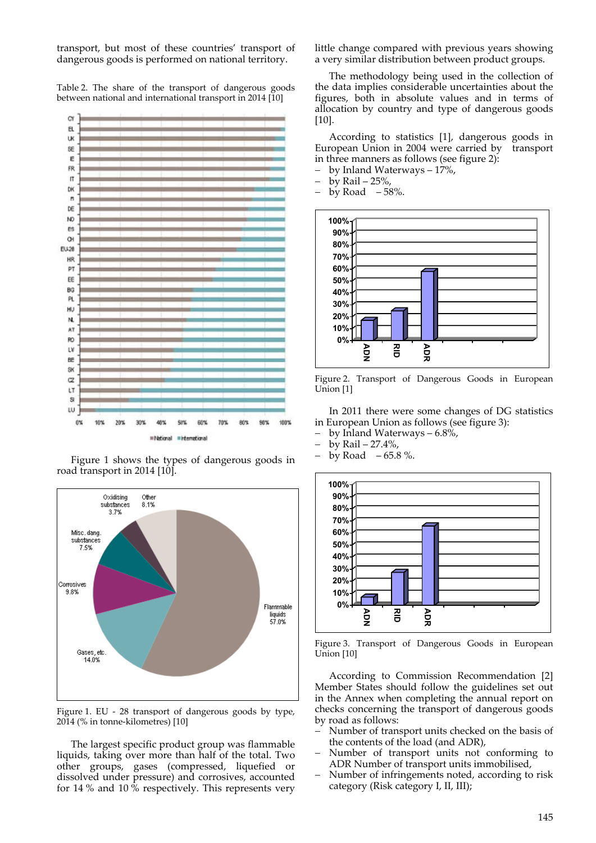transport, but most of these countries' transport of dangerous goods is performed on national territory.

Table 2. The share of the transport of dangerous goods between national and international transport in 2014 [10]



Figure 1 shows the types of dangerous goods in road transport in 2014 [10].



Figure 1. EU - 28 transport of dangerous goods by type, 2014 (% in tonne‐kilometres) [10]

The largest specific product group was flammable liquids, taking over more than half of the total. Two other groups, gases (compressed, liquefied or dissolved under pressure) and corrosives, accounted for 14 % and 10 % respectively. This represents very

little change compared with previous years showing a very similar distribution between product groups.

The methodology being used in the collection of the data implies considerable uncertainties about the figures, both in absolute values and in terms of allocation by country and type of dangerous goods [10].

According to statistics [1], dangerous goods in European Union in 2004 were carried by transport in three manners as follows (see figure 2):

- by Inland Waterways 17%,
- by Rail 25%,

by Road  $-58%$ .



Figure 2. Transport of Dangerous Goods in European Union [1]

In 2011 there were some changes of DG statistics in European Union as follows (see figure 3):

- by Inland Waterways 6.8%,
- by Rail 27.4%,
- by Road  $-65.8 \%$ .



Figure 3. Transport of Dangerous Goods in European Union [10]

According to Commission Recommendation [2] Member States should follow the guidelines set out in the Annex when completing the annual report on checks concerning the transport of dangerous goods by road as follows:

- Number of transport units checked on the basis of the contents of the load (and ADR),
- Number of transport units not conforming to ADR Number of transport units immobilised,
- Number of infringements noted, according to risk category (Risk category I, II, III);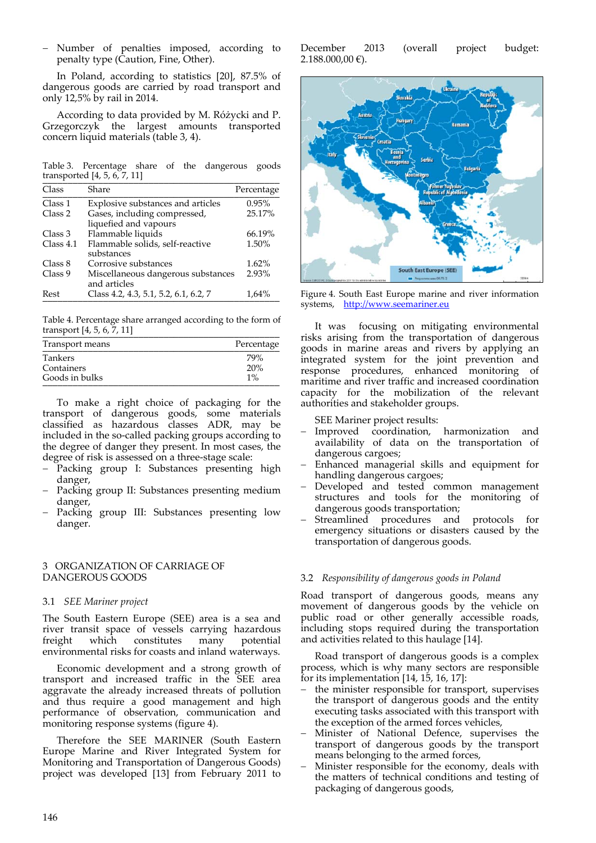Number of penalties imposed, according to penalty type (Caution, Fine, Other).

In Poland, according to statistics [20], 87.5% of dangerous goods are carried by road transport and only 12,5% by rail in 2014.

According to data provided by M. Różycki and P. Grzegorczyk the largest amounts transported concern liquid materials (table 3, 4).

Table 3. Percentage share of the dangerous goods transported  $[4, 5, 6, 7, 11]$ 

| Class       | Share                                              | Percentage |
|-------------|----------------------------------------------------|------------|
| Class 1     | Explosive substances and articles                  | 0.95%      |
| Class 2     | Gases, including compressed,                       | 25.17%     |
|             | liquefied and vapours                              |            |
| Class 3     | Flammable liquids                                  | 66.19%     |
| Class $4.1$ | Flammable solids, self-reactive                    | 1.50%      |
|             | substances                                         |            |
| Class 8     | Corrosive substances                               | 1.62%      |
| Class 9     | Miscellaneous dangerous substances<br>and articles | 2.93%      |
| Rest        | Class 4.2, 4.3, 5.1, 5.2, 6.1, 6.2, 7              | 1,64%      |

Table 4. Percentage share arranged according to the form of transport [4, 5, 6, 7, 11] \_\_\_\_\_\_\_\_\_\_\_\_\_\_\_\_\_\_\_\_\_\_\_\_\_\_\_\_\_\_\_\_\_\_\_\_\_\_\_\_\_\_\_\_\_\_\_

| Transport means | Percentage |  |  |
|-----------------|------------|--|--|
| Tankers         | 79%        |  |  |
| Containers      | 20%        |  |  |
| Goods in bulks  | $1\%$      |  |  |

To make a right choice of packaging for the transport of dangerous goods, some materials classified as hazardous classes ADR, may be included in the so‐called packing groups according to the degree of danger they present. In most cases, the degree of risk is assessed on a three‐stage scale:

- Packing group I: Substances presenting high danger,
- Packing group II: Substances presenting medium danger,
- Packing group III: Substances presenting low danger.

# 3 ORGANIZATION OF CARRIAGE OF DANGEROUS GOODS

# 3.1 *SEE Mariner project*

The South Eastern Europe (SEE) area is a sea and river transit space of vessels carrying hazardous freight which constitutes many potential environmental risks for coasts and inland waterways.

Economic development and a strong growth of transport and increased traffic in the SEE area aggravate the already increased threats of pollution and thus require a good management and high performance of observation, communication and monitoring response systems (figure 4).

Therefore the SEE MARINER (South Eastern Europe Marine and River Integrated System for Monitoring and Transportation of Dangerous Goods) project was developed [13] from February 2011 to December 2013 (overall project budget: 2.188.000,00 €).



Figure 4. South East Europe marine and river information systems, http://www.seemariner.eu

It was focusing on mitigating environmental risks arising from the transportation of dangerous goods in marine areas and rivers by applying an integrated system for the joint prevention and response procedures, enhanced monitoring of maritime and river traffic and increased coordination capacity for the mobilization of the relevant authorities and stakeholder groups.

SEE Mariner project results:

- Improved coordination, harmonization and availability of data on the transportation of dangerous cargoes;
- Enhanced managerial skills and equipment for handling dangerous cargoes;
- Developed and tested common management structures and tools for the monitoring of dangerous goods transportation;
- Streamlined procedures and protocols for emergency situations or disasters caused by the transportation of dangerous goods.

# 3.2 *Responsibility of dangerous goods in Poland*

Road transport of dangerous goods, means any movement of dangerous goods by the vehicle on public road or other generally accessible roads, including stops required during the transportation and activities related to this haulage [14].

Road transport of dangerous goods is a complex process, which is why many sectors are responsible for its implementation [14, 15, 16, 17]:

- the minister responsible for transport, supervises the transport of dangerous goods and the entity executing tasks associated with this transport with the exception of the armed forces vehicles,
- Minister of National Defence, supervises the transport of dangerous goods by the transport means belonging to the armed forces,
- Minister responsible for the economy, deals with the matters of technical conditions and testing of packaging of dangerous goods,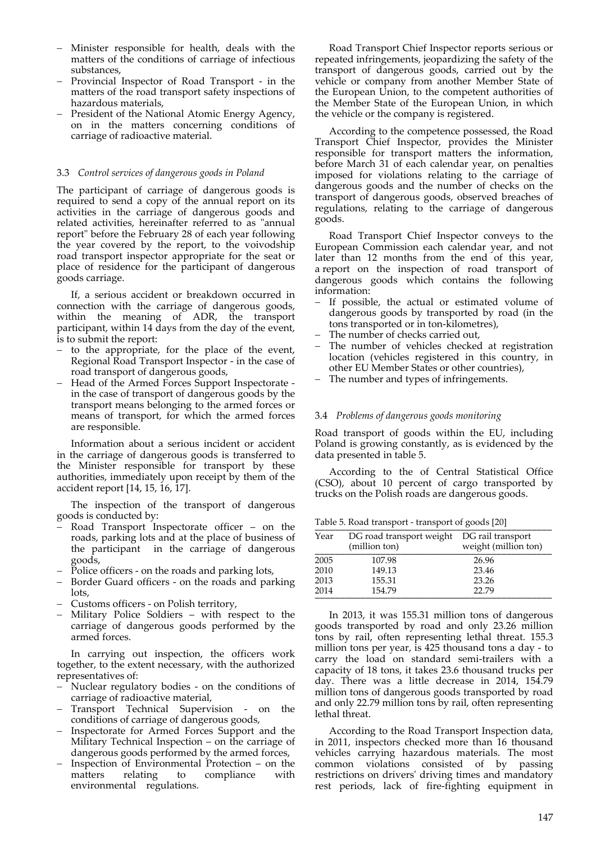- Minister responsible for health, deals with the matters of the conditions of carriage of infectious substances,
- Provincial Inspector of Road Transport in the matters of the road transport safety inspections of hazardous materials,
- President of the National Atomic Energy Agency, on in the matters concerning conditions of carriage of radioactive material.

## 3.3 *Control services of dangerous goods in Poland*

The participant of carriage of dangerous goods is required to send a copy of the annual report on its activities in the carriage of dangerous goods and related activities, hereinafter referred to as "annual report" before the February 28 of each year following the year covered by the report, to the voivodship road transport inspector appropriate for the seat or place of residence for the participant of dangerous goods carriage.

If, a serious accident or breakdown occurred in connection with the carriage of dangerous goods, within the meaning of ADR, the transport participant, within 14 days from the day of the event, is to submit the report:

- $-$  to the appropriate, for the place of the event, Regional Road Transport Inspector ‐ in the case of road transport of dangerous goods,
- Head of the Armed Forces Support Inspectorate in the case of transport of dangerous goods by the transport means belonging to the armed forces or means of transport, for which the armed forces are responsible.

Information about a serious incident or accident in the carriage of dangerous goods is transferred to the Minister responsible for transport by these authorities, immediately upon receipt by them of the accident report [14, 15, 16, 17].

The inspection of the transport of dangerous goods is conducted by:

- Road Transport Inspectorate officer on the roads, parking lots and at the place of business of the participant in the carriage of dangerous goods,
- Police officers on the roads and parking lots,
- Border Guard officers on the roads and parking lots,
- Customs officers ‐ on Polish territory,
- Military Police Soldiers with respect to the carriage of dangerous goods performed by the armed forces.

In carrying out inspection, the officers work together, to the extent necessary, with the authorized representatives of:

- Nuclear regulatory bodies on the conditions of carriage of radioactive material,
- Transport Technical Supervision ‐ on the conditions of carriage of dangerous goods,
- Inspectorate for Armed Forces Support and the Military Technical Inspection – on the carriage of dangerous goods performed by the armed forces,
- Inspection of Environmental Protection on the matters relating to compliance with environmental regulations.

Road Transport Chief Inspector reports serious or repeated infringements, jeopardizing the safety of the transport of dangerous goods, carried out by the vehicle or company from another Member State of the European Union, to the competent authorities of the Member State of the European Union, in which the vehicle or the company is registered.

According to the competence possessed, the Road Transport Chief Inspector, provides the Minister responsible for transport matters the information, before March 31 of each calendar year, on penalties imposed for violations relating to the carriage of dangerous goods and the number of checks on the transport of dangerous goods, observed breaches of regulations, relating to the carriage of dangerous goods.

Road Transport Chief Inspector conveys to the European Commission each calendar year, and not later than 12 months from the end of this year, a report on the inspection of road transport of dangerous goods which contains the following information:

- If possible, the actual or estimated volume of dangerous goods by transported by road (in the tons transported or in ton‐kilometres),
- The number of checks carried out,
- The number of vehicles checked at registration location (vehicles registered in this country, in other EU Member States or other countries),
- The number and types of infringements.

# 3.4 *Problems of dangerous goods monitoring*

Road transport of goods within the EU, including Poland is growing constantly, as is evidenced by the data presented in table 5.

According to the of Central Statistical Office (CSO), about 10 percent of cargo transported by trucks on the Polish roads are dangerous goods.

Table 5. Road transport - transport of goods [20]

| Year | DG road transport weight<br>(million ton) | DG rail transport<br>weight (million ton) |
|------|-------------------------------------------|-------------------------------------------|
| 2005 | 107.98                                    | 26.96                                     |
| 2010 | 149.13                                    | 23.46                                     |
| 2013 | 155.31                                    | 23.26                                     |
| 2014 | 154.79                                    | 22.79                                     |

In 2013, it was 155.31 million tons of dangerous goods transported by road and only 23.26 million tons by rail, often representing lethal threat. 155.3 million tons per year, is 425 thousand tons a day ‐ to carry the load on standard semi‐trailers with a capacity of 18 tons, it takes 23.6 thousand trucks per day. There was a little decrease in 2014, 154.79 million tons of dangerous goods transported by road and only 22.79 million tons by rail, often representing lethal threat.

According to the Road Transport Inspection data, in 2011, inspectors checked more than 16 thousand vehicles carrying hazardous materials. The most common violations consisted of by passing restrictions on driversʹ driving times and mandatory rest periods, lack of fire‐fighting equipment in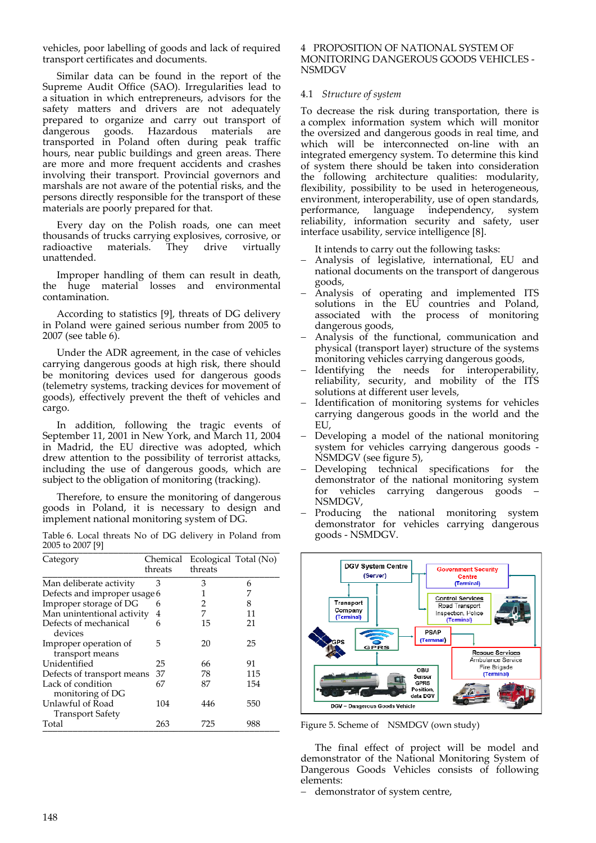vehicles, poor labelling of goods and lack of required transport certificates and documents.

Similar data can be found in the report of the Supreme Audit Office (SAO). Irregularities lead to a situation in which entrepreneurs, advisors for the safety matters and drivers are not adequately prepared to organize and carry out transport of dangerous goods. Hazardous materials are transported in Poland often during peak traffic hours, near public buildings and green areas. There are more and more frequent accidents and crashes involving their transport. Provincial governors and marshals are not aware of the potential risks, and the persons directly responsible for the transport of these materials are poorly prepared for that.

Every day on the Polish roads, one can meet thousands of trucks carrying explosives, corrosive, or<br>radioactive materials. They drive virtually radioactive materials. They drive virtually unattended.

Improper handling of them can result in death, the huge material losses and environmental contamination.

According to statistics [9], threats of DG delivery in Poland were gained serious number from 2005 to 2007 (see table 6).

Under the ADR agreement, in the case of vehicles carrying dangerous goods at high risk, there should be monitoring devices used for dangerous goods (telemetry systems, tracking devices for movement of goods), effectively prevent the theft of vehicles and cargo.

In addition, following the tragic events of September 11, 2001 in New York, and March 11, 2004 in Madrid, the EU directive was adopted, which drew attention to the possibility of terrorist attacks, including the use of dangerous goods, which are subject to the obligation of monitoring (tracking).

Therefore, to ensure the monitoring of dangerous goods in Poland, it is necessary to design and implement national monitoring system of DG.

Table 6. Local threats No of DG delivery in Poland from 2005 to 2007 [9]

| Category                                    | Chemical<br>threats | threats | Ecological Total (No) |
|---------------------------------------------|---------------------|---------|-----------------------|
| Man deliberate activity                     | 3                   | З       | 6                     |
| Defects and improper usage 6                |                     | 1       |                       |
| Improper storage of DG                      | 6                   | 2       | 8                     |
| Man unintentional activity                  | 4                   | 7       | 11                    |
| Defects of mechanical<br>devices            | 6                   | 15      | 21                    |
| Improper operation of<br>transport means    | 5                   | 20      | 25                    |
| Unidentified                                | 25                  | 66      | 91                    |
| Defects of transport means                  | 37                  | 78      | 115                   |
| Lack of condition<br>monitoring of DG       | 67                  | 87      | 154                   |
| Unlawful of Road<br><b>Transport Safety</b> | 104                 | 446     | 550                   |
| Total                                       | 263                 | 725     | 988                   |

4 PROPOSITION OF NATIONAL SYSTEM OF MONITORING DANGEROUS GOODS VEHICLES ‐ NSMDGV

## 4.1 *Structure of system*

To decrease the risk during transportation, there is a complex information system which will monitor the oversized and dangerous goods in real time, and which will be interconnected on-line with an integrated emergency system. To determine this kind of system there should be taken into consideration the following architecture qualities: modularity, flexibility, possibility to be used in heterogeneous, environment, interoperability, use of open standards, performance, language independency, system reliability, information security and safety, user interface usability, service intelligence [8].

It intends to carry out the following tasks:

- Analysis of legislative, international, EU and national documents on the transport of dangerous goods,
- Analysis of operating and implemented ITS solutions in the EU countries and Poland, associated with the process of monitoring dangerous goods,
- Analysis of the functional, communication and physical (transport layer) structure of the systems monitoring vehicles carrying dangerous goods,
- Identifying the needs for interoperability, reliability, security, and mobility of the ITS solutions at different user levels,
- Identification of monitoring systems for vehicles carrying dangerous goods in the world and the EU,
- Developing a model of the national monitoring system for vehicles carrying dangerous goods ‐ NSMDGV (see figure 5),
- Developing technical specifications for the demonstrator of the national monitoring system for vehicles carrying dangerous goods – NSMDGV,
- Producing the national monitoring system demonstrator for vehicles carrying dangerous goods ‐ NSMDGV.



Figure 5. Scheme of NSMDGV (own study)

The final effect of project will be model and demonstrator of the National Monitoring System of Dangerous Goods Vehicles consists of following elements:

demonstrator of system centre,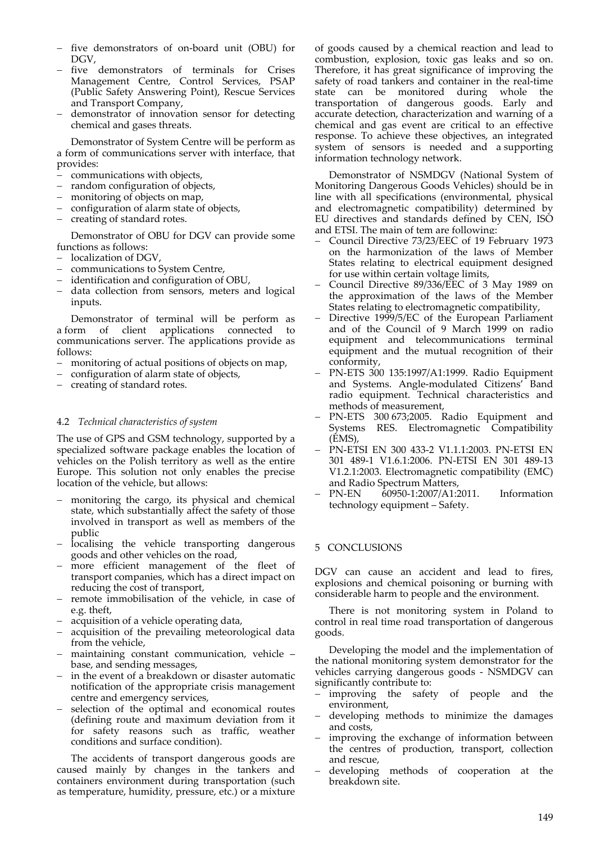- five demonstrators of on-board unit (OBU) for DGV,
- five demonstrators of terminals for Crises Management Centre, Control Services, PSAP (Public Safety Answering Point), Rescue Services and Transport Company,
- demonstrator of innovation sensor for detecting chemical and gases threats.

Demonstrator of System Centre will be perform as a form of communications server with interface, that provides:

- communications with objects,
- random configuration of objects,
- monitoring of objects on map,
- configuration of alarm state of objects,
- creating of standard rotes.

Demonstrator of OBU for DGV can provide some functions as follows:

- localization of DGV,
- communications to System Centre,
- identification and configuration of OBU,
- data collection from sensors, meters and logical inputs.

Demonstrator of terminal will be perform as a form of client applications connected to communications server. The applications provide as follows:

- monitoring of actual positions of objects on map,
- configuration of alarm state of objects,
- creating of standard rotes.

## 4.2 *Technical characteristics of system*

The use of GPS and GSM technology, supported by a specialized software package enables the location of vehicles on the Polish territory as well as the entire Europe. This solution not only enables the precise location of the vehicle, but allows:

- monitoring the cargo, its physical and chemical state, which substantially affect the safety of those involved in transport as well as members of the public
- localising the vehicle transporting dangerous goods and other vehicles on the road,
- more efficient management of the fleet of transport companies, which has a direct impact on reducing the cost of transport,
- remote immobilisation of the vehicle, in case of e.g. theft,
- acquisition of a vehicle operating data,
- acquisition of the prevailing meteorological data from the vehicle,
- maintaining constant communication, vehicle base, and sending messages,
- in the event of a breakdown or disaster automatic notification of the appropriate crisis management centre and emergency services,
- selection of the optimal and economical routes (defining route and maximum deviation from it for safety reasons such as traffic, weather conditions and surface condition).

The accidents of transport dangerous goods are caused mainly by changes in the tankers and containers environment during transportation (such as temperature, humidity, pressure, etc.) or a mixture of goods caused by a chemical reaction and lead to combustion, explosion, toxic gas leaks and so on. Therefore, it has great significance of improving the safety of road tankers and container in the real-time state can be monitored during whole the transportation of dangerous goods. Early and accurate detection, characterization and warning of a chemical and gas event are critical to an effective response. To achieve these objectives, an integrated system of sensors is needed and a supporting information technology network.

Demonstrator of NSMDGV (National System of Monitoring Dangerous Goods Vehicles) should be in line with all specifications (environmental, physical and electromagnetic compatibility) determined by EU directives and standards defined by CEN, ISO and ETSI. The main of tem are following:

- Council Directive 73/23/EEC of 19 February 1973 on the harmonization of the laws of Member States relating to electrical equipment designed for use within certain voltage limits,
- Council Directive 89/336/EEC of 3 May 1989 on the approximation of the laws of the Member States relating to electromagnetic compatibility,
- Directive 1999/5/EC of the European Parliament and of the Council of 9 March 1999 on radio equipment and telecommunications terminal equipment and the mutual recognition of their conformity,
- PN‐ETS 300 135:1997/A1:1999. Radio Equipment and Systems. Angle‐modulated Citizens' Band radio equipment. Technical characteristics and methods of measurement,
- PN‐ETS 300 673;2005. Radio Equipment and Systems RES. Electromagnetic Compatibility (EMS),
- PN‐ETSI EN 300 433‐2 V1.1.1:2003. PN‐ETSI EN 301 489‐1 V1.6.1:2006. PN‐ETSI EN 301 489‐13 V1.2.1:2003. Electromagnetic compatibility (EMC) and Radio Spectrum Matters,
- PN‐EN 60950‐1:2007/A1:2011. Information technology equipment – Safety.

## 5 CONCLUSIONS

DGV can cause an accident and lead to fires, explosions and chemical poisoning or burning with considerable harm to people and the environment.

There is not monitoring system in Poland to control in real time road transportation of dangerous goods.

Developing the model and the implementation of the national monitoring system demonstrator for the vehicles carrying dangerous goods ‐ NSMDGV can significantly contribute to:

- improving the safety of people and the environment,
- developing methods to minimize the damages and costs,
- improving the exchange of information between the centres of production, transport, collection and rescue,
- developing methods of cooperation at the breakdown site.